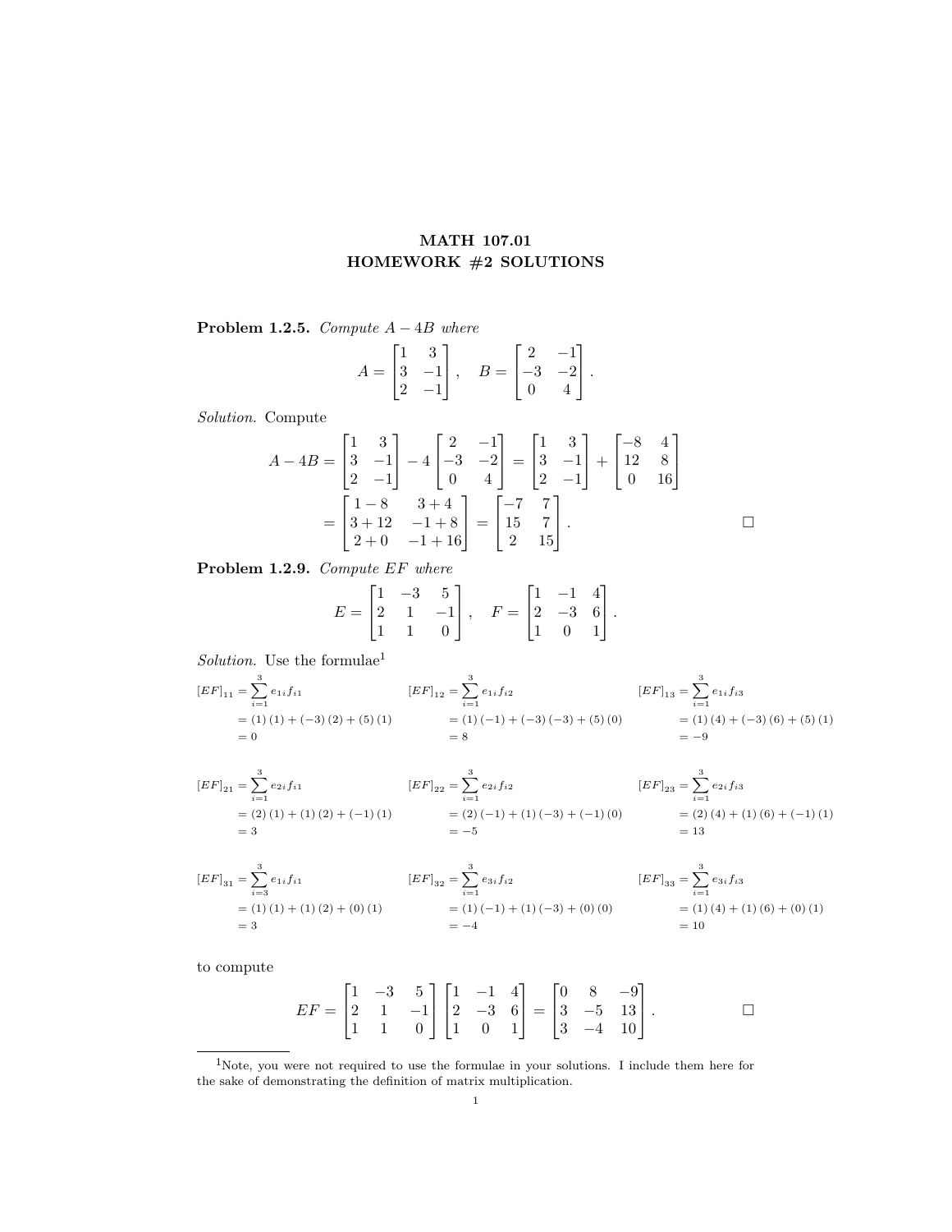## MATH 107.01 HOMEWORK #2 SOLUTIONS

Problem 1.2.5. Compute  $A - 4B$  where

$$
A = \begin{bmatrix} 1 & 3 \\ 3 & -1 \\ 2 & -1 \end{bmatrix}, \quad B = \begin{bmatrix} 2 & -1 \\ -3 & -2 \\ 0 & 4 \end{bmatrix}.
$$

Solution. Compute

$$
A - 4B = \begin{bmatrix} 1 & 3 \\ 3 & -1 \\ 2 & -1 \end{bmatrix} - 4 \begin{bmatrix} 2 & -1 \\ -3 & -2 \\ 0 & 4 \end{bmatrix} = \begin{bmatrix} 1 & 3 \\ 3 & -1 \\ 2 & -1 \end{bmatrix} + \begin{bmatrix} -8 & 4 \\ 12 & 8 \\ 0 & 16 \end{bmatrix}
$$

$$
= \begin{bmatrix} 1 - 8 & 3 + 4 \\ 3 + 12 & -1 + 8 \\ 2 + 0 & -1 + 16 \end{bmatrix} = \begin{bmatrix} -7 & 7 \\ 15 & 7 \\ 2 & 15 \end{bmatrix}.
$$

Problem 1.2.9. Compute EF where

$$
E = \begin{bmatrix} 1 & -3 & 5 \\ 2 & 1 & -1 \\ 1 & 1 & 0 \end{bmatrix}, \quad F = \begin{bmatrix} 1 & -1 & 4 \\ 2 & -3 & 6 \\ 1 & 0 & 1 \end{bmatrix}.
$$

Solution. Use the formulae $^1$ 

$$
[EF]_{11} = \sum_{i=1}^{3} e_{1i} f_{i1}
$$
  
\n
$$
= (1) (1) + (-3) (2) + (5) (1)
$$
  
\n
$$
= 0
$$
  
\n
$$
[EF]_{12} = \sum_{i=1}^{3} e_{1i} f_{i2}
$$
  
\n
$$
= (1) (-1) + (-3) (-3) + (5) (0)
$$
  
\n
$$
= (1) (4) + (-3) (6) + (5) (1)
$$
  
\n
$$
= 0
$$
  
\n
$$
= -9
$$
  
\n
$$
[EF]_{13} = \sum_{i=1}^{3} e_{1i} f_{i3}
$$
  
\n
$$
[EF]_{14} = \sum_{i=1}^{3} e_{1i} f_{i3}
$$
  
\n
$$
= (1) (4) + (-3) (6) + (5) (1)
$$

$$
[EF]_{21} = \sum_{i=1}^{3} e_{2i} f_{i1}
$$
  
\n
$$
= (2)(1) + (1)(2) + (-1)(1)
$$
  
\n
$$
= (2)(-1) + (1)(-3) + (-1)(0)
$$
  
\n
$$
= (2)(4) + (1)(6) + (-1)(1)
$$
  
\n
$$
= -5
$$
  
\n
$$
[EF]_{23} = \sum_{i=1}^{3} e_{2i} f_{i3}
$$
  
\n
$$
[EF]_{23} = \sum_{i=1}^{3} e_{2i} f_{i3}
$$
  
\n
$$
[EF]_{23} = \sum_{i=1}^{3} e_{2i} f_{i3}
$$
  
\n
$$
= (2)(4) + (1)(6) + (-1)(1)
$$
  
\n
$$
= 13
$$

$$
[EF]_{31} = \sum_{i=3}^{3} e_{1i} f_{i1}
$$
  
\n
$$
= (1) (1) + (1) (2) + (0) (1)
$$
  
\n
$$
= 3
$$
  
\n
$$
[EF]_{32} = \sum_{i=1}^{3} e_{3i} f_{i2}
$$
  
\n
$$
= (1) (-1) + (1) (-3) + (0) (0)
$$
  
\n
$$
= -4
$$
  
\n
$$
[EF]_{33} = \sum_{i=1}^{3} e_{3i} f_{i3}
$$
  
\n
$$
[EF]_{33} = \sum_{i=1}^{3} e_{3i} f_{i3}
$$
  
\n
$$
= (1) (4) + (1) (6) + (0) (1)
$$
  
\n
$$
= 10
$$

to compute

$$
EF = \begin{bmatrix} 1 & -3 & 5 \\ 2 & 1 & -1 \\ 1 & 1 & 0 \end{bmatrix} \begin{bmatrix} 1 & -1 & 4 \\ 2 & -3 & 6 \\ 1 & 0 & 1 \end{bmatrix} = \begin{bmatrix} 0 & 8 & -9 \\ 3 & -5 & 13 \\ 3 & -4 & 10 \end{bmatrix}.
$$

<sup>1</sup>Note, you were not required to use the formulae in your solutions. I include them here for the sake of demonstrating the definition of matrix multiplication.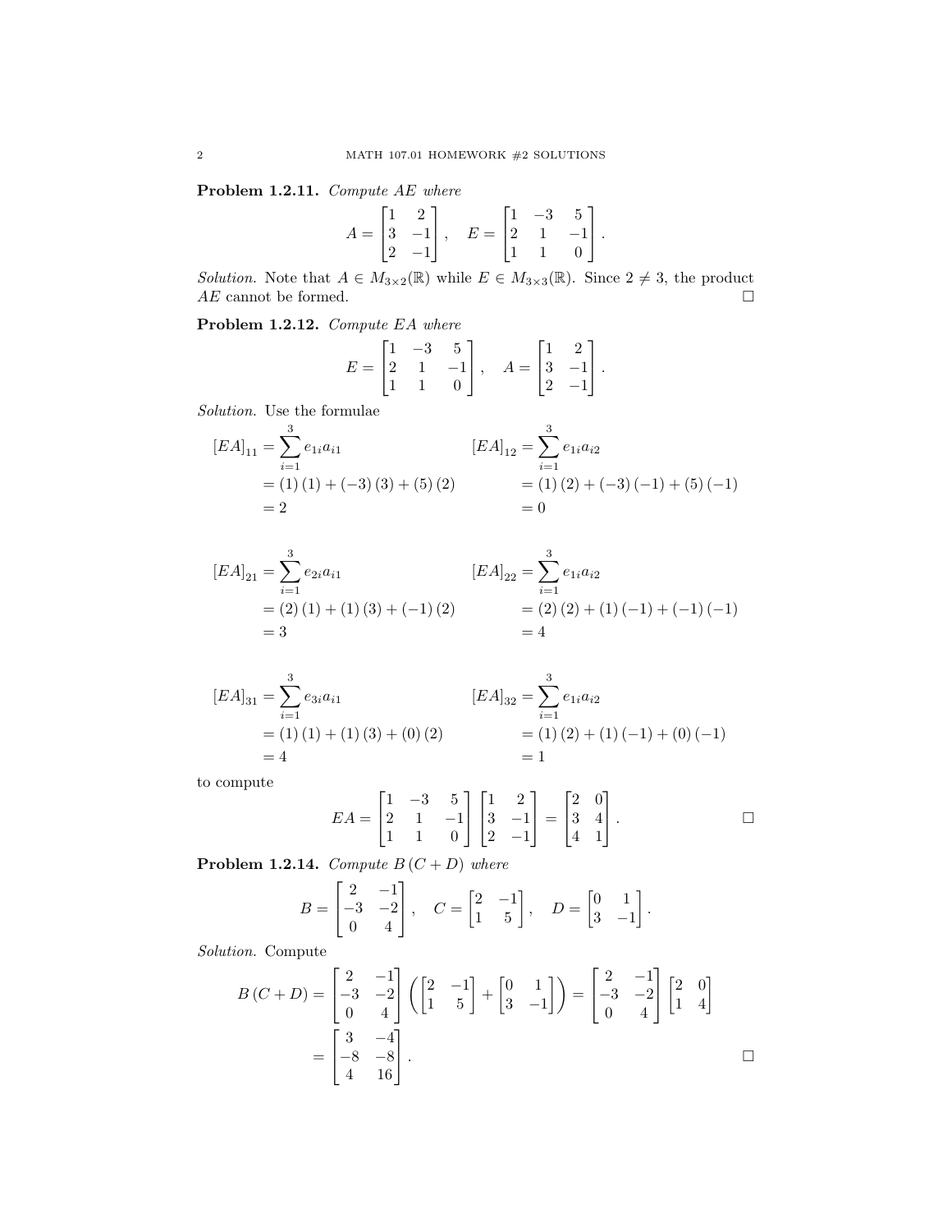Problem 1.2.11. Compute AE where

$$
A = \begin{bmatrix} 1 & 2 \\ 3 & -1 \\ 2 & -1 \end{bmatrix}, \quad E = \begin{bmatrix} 1 & -3 & 5 \\ 2 & 1 & -1 \\ 1 & 1 & 0 \end{bmatrix}.
$$

Solution. Note that  $A \in M_{3\times 2}(\mathbb{R})$  while  $E \in M_{3\times 3}(\mathbb{R})$ . Since  $2 \neq 3$ , the product  $AE$  cannot be formed.  $\hfill \Box$ 

Problem 1.2.12. Compute EA where

$$
E = \begin{bmatrix} 1 & -3 & 5 \\ 2 & 1 & -1 \\ 1 & 1 & 0 \end{bmatrix}, \quad A = \begin{bmatrix} 1 & 2 \\ 3 & -1 \\ 2 & -1 \end{bmatrix}.
$$

Solution. Use the formulae

$$
[EA]_{11} = \sum_{i=1}^{3} e_{1i}a_{i1}
$$
  
= (1) (1) + (-3) (3) + (5) (2) 
$$
= 2
$$
  
= 0  

$$
[EA]_{12} = \sum_{i=1}^{3} e_{1i}a_{i2}
$$
  
= (1) (2) + (-3) (-1) + (5) (-1)  
= 0

$$
[EA]_{21} = \sum_{i=1}^{3} e_{2i}a_{i1}
$$
  
= (2) (1) + (1) (3) + (-1) (2)   
= 3   

$$
[EA]_{22} = \sum_{i=1}^{3} e_{1i}a_{i2}
$$
  
= (2) (2) + (1) (-1) + (-1) (-1)  
= 4

$$
[EA]_{31} = \sum_{i=1}^{3} e_{3i}a_{i1}
$$
  
= (1) (1) + (1) (3) + (0) (2)  
= 4  

$$
= 1
$$
  

$$
[EA]_{32} = \sum_{i=1}^{3} e_{1i}a_{i2}
$$
  
= (1) (2) + (1) (-1) + (0) (-1)  
= 1

to compute

$$
EA = \begin{bmatrix} 1 & -3 & 5 \\ 2 & 1 & -1 \\ 1 & 1 & 0 \end{bmatrix} \begin{bmatrix} 1 & 2 \\ 3 & -1 \\ 2 & -1 \end{bmatrix} = \begin{bmatrix} 2 & 0 \\ 3 & 4 \\ 4 & 1 \end{bmatrix}.
$$

**Problem 1.2.14.** Compute  $B(C + D)$  where

$$
B = \begin{bmatrix} 2 & -1 \\ -3 & -2 \\ 0 & 4 \end{bmatrix}, \quad C = \begin{bmatrix} 2 & -1 \\ 1 & 5 \end{bmatrix}, \quad D = \begin{bmatrix} 0 & 1 \\ 3 & -1 \end{bmatrix}.
$$

Solution. Compute

$$
B(C+D) = \begin{bmatrix} 2 & -1 \\ -3 & -2 \\ 0 & 4 \end{bmatrix} \left( \begin{bmatrix} 2 & -1 \\ 1 & 5 \end{bmatrix} + \begin{bmatrix} 0 & 1 \\ 3 & -1 \end{bmatrix} \right) = \begin{bmatrix} 2 & -1 \\ -3 & -2 \\ 0 & 4 \end{bmatrix} \begin{bmatrix} 2 & 0 \\ 1 & 4 \end{bmatrix}
$$

$$
= \begin{bmatrix} 3 & -4 \\ -8 & -8 \\ 4 & 16 \end{bmatrix}.
$$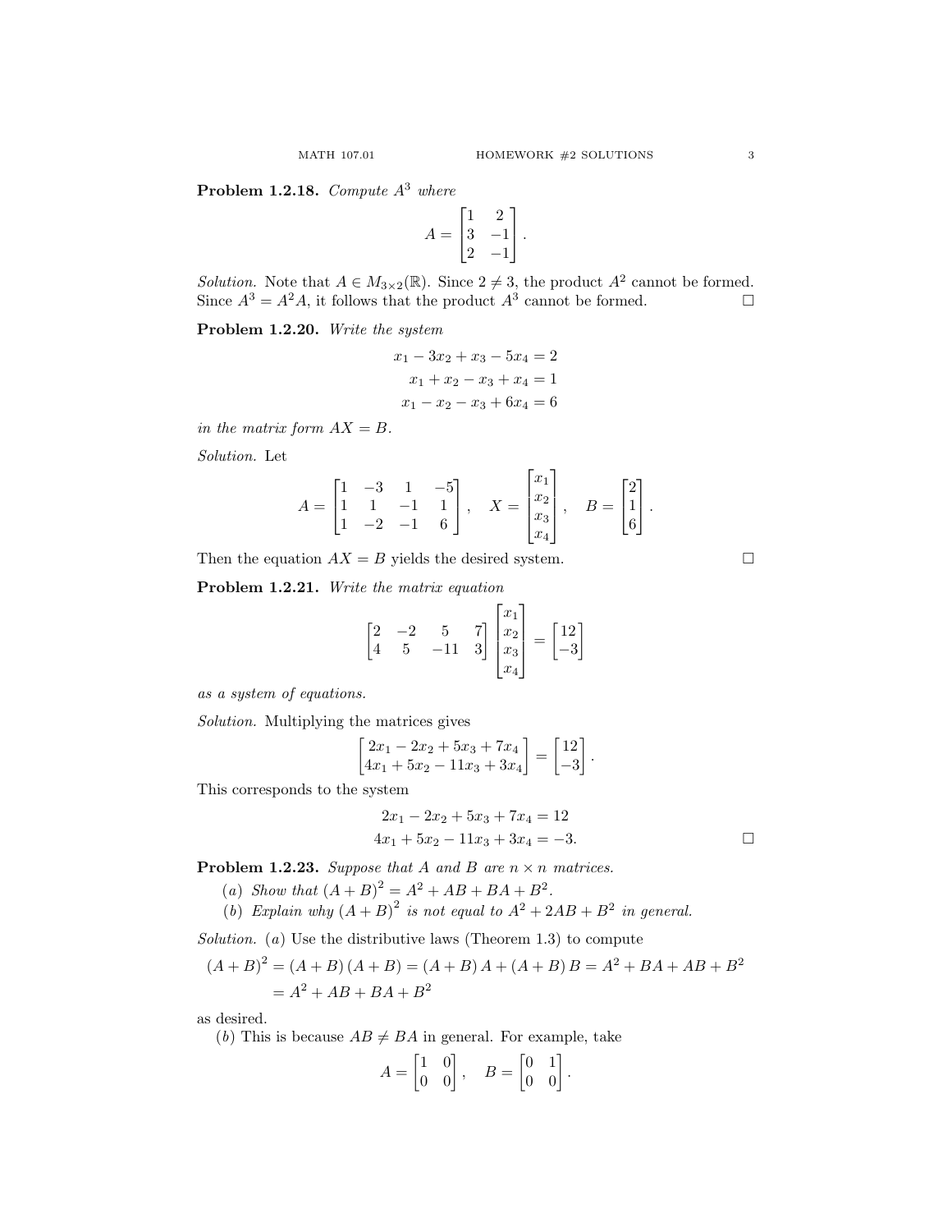**Problem 1.2.18.** Compute  $A<sup>3</sup>$  where

$$
A = \begin{bmatrix} 1 & 2 \\ 3 & -1 \\ 2 & -1 \end{bmatrix}.
$$

*Solution*. Note that  $A \in M_{3\times 2}(\mathbb{R})$ . Since  $2 \neq 3$ , the product  $A^2$  cannot be formed. Since  $A^3 = A^2 A$ , it follows that the product  $A^3$  cannot be formed.

## Problem 1.2.20. Write the system

$$
x_1 - 3x_2 + x_3 - 5x_4 = 2
$$
  

$$
x_1 + x_2 - x_3 + x_4 = 1
$$
  

$$
x_1 - x_2 - x_3 + 6x_4 = 6
$$

in the matrix form  $AX = B$ .

Solution. Let

$$
A = \begin{bmatrix} 1 & -3 & 1 & -5 \\ 1 & 1 & -1 & 1 \\ 1 & -2 & -1 & 6 \end{bmatrix}, \quad X = \begin{bmatrix} x_1 \\ x_2 \\ x_3 \\ x_4 \end{bmatrix}, \quad B = \begin{bmatrix} 2 \\ 1 \\ 6 \end{bmatrix}.
$$

 $\blacksquare$ 

Then the equation  $AX = B$  yields the desired system.

Problem 1.2.21. Write the matrix equation

$$
\begin{bmatrix} 2 & -2 & 5 & 7 \\ 4 & 5 & -11 & 3 \end{bmatrix} \begin{bmatrix} x_1 \\ x_2 \\ x_3 \\ x_4 \end{bmatrix} = \begin{bmatrix} 12 \\ -3 \end{bmatrix}
$$

as a system of equations.

Solution. Multiplying the matrices gives

$$
\begin{bmatrix} 2x_1 - 2x_2 + 5x_3 + 7x_4 \ 4x_1 + 5x_2 - 11x_3 + 3x_4 \end{bmatrix} = \begin{bmatrix} 12 \\ -3 \end{bmatrix}.
$$

This corresponds to the system

$$
2x_1 - 2x_2 + 5x_3 + 7x_4 = 12
$$
  

$$
4x_1 + 5x_2 - 11x_3 + 3x_4 = -3.
$$

**Problem 1.2.23.** Suppose that A and B are  $n \times n$  matrices.

- (a) Show that  $(A + B)^2 = A^2 + AB + BA + B^2$ .
- (b) Explain why  $(A + B)^2$  is not equal to  $A^2 + 2AB + B^2$  in general.

Solution.  $(a)$  Use the distributive laws (Theorem 1.3) to compute

$$
(A + B)2 = (A + B) (A + B) = (A + B) A + (A + B) B = A2 + BA + AB + B2
$$
  
= A<sup>2</sup> + AB + BA + B<sup>2</sup>

as desired.

(b) This is because  $AB \neq BA$  in general. For example, take

$$
A = \begin{bmatrix} 1 & 0 \\ 0 & 0 \end{bmatrix}, \quad B = \begin{bmatrix} 0 & 1 \\ 0 & 0 \end{bmatrix}.
$$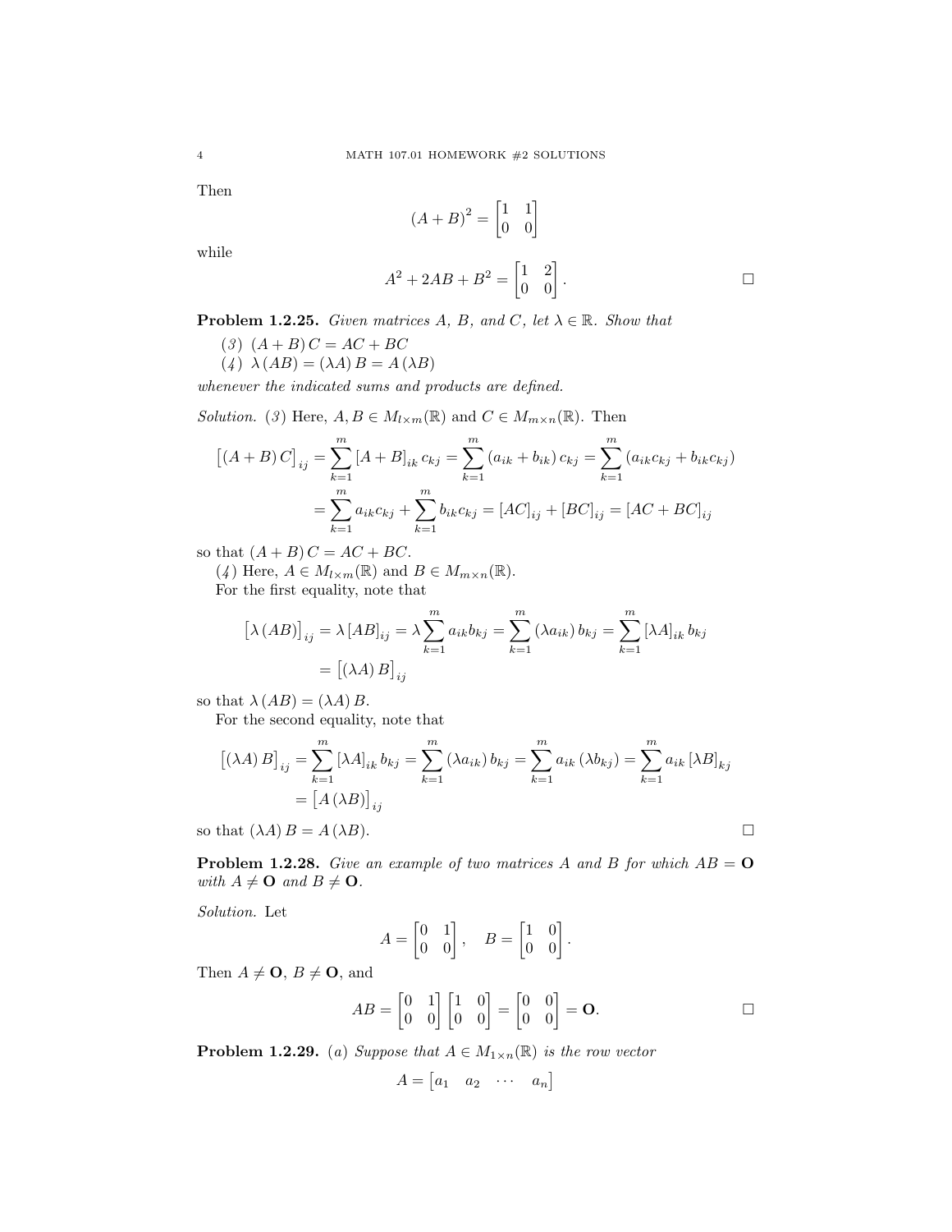Then

$$
(A+B)^2 = \begin{bmatrix} 1 & 1 \\ 0 & 0 \end{bmatrix}
$$

while

$$
A^2 + 2AB + B^2 = \begin{bmatrix} 1 & 2 \\ 0 & 0 \end{bmatrix}.
$$

**Problem 1.2.25.** Given matrices A, B, and C, let  $\lambda \in \mathbb{R}$ . Show that

(3)  $(A + B) C = AC + BC$ (4)  $\lambda(AB) = (\lambda A) B = A(\lambda B)$ 

whenever the indicated sums and products are defined.

Solution. (3) Here,  $A, B \in M_{l \times m}(\mathbb{R})$  and  $C \in M_{m \times n}(\mathbb{R})$ . Then

$$
[(A + B) C]_{ij} = \sum_{k=1}^{m} [A + B]_{ik} c_{kj} = \sum_{k=1}^{m} (a_{ik} + b_{ik}) c_{kj} = \sum_{k=1}^{m} (a_{ik} c_{kj} + b_{ik} c_{kj})
$$

$$
= \sum_{k=1}^{m} a_{ik} c_{kj} + \sum_{k=1}^{m} b_{ik} c_{kj} = [AC]_{ij} + [BC]_{ij} = [AC + BC]_{ij}
$$

so that  $(A + B)C = AC + BC$ .

(4) Here,  $A \in M_{l \times m}(\mathbb{R})$  and  $B \in M_{m \times n}(\mathbb{R})$ . For the first equality, note that

$$
[\lambda(AB)]_{ij} = \lambda [AB]_{ij} = \lambda \sum_{k=1}^{m} a_{ik} b_{kj} = \sum_{k=1}^{m} (\lambda a_{ik}) b_{kj} = \sum_{k=1}^{m} [\lambda A]_{ik} b_{kj}
$$

$$
= [(\lambda A) B]_{ij}
$$

so that  $\lambda(AB) = (\lambda A) B$ .

For the second equality, note that

$$
\begin{aligned} \left[ (\lambda A) B \right]_{ij} &= \sum_{k=1}^{m} \left[ \lambda A \right]_{ik} b_{kj} = \sum_{k=1}^{m} \left( \lambda a_{ik} \right) b_{kj} = \sum_{k=1}^{m} a_{ik} \left( \lambda b_{kj} \right) = \sum_{k=1}^{m} a_{ik} \left[ \lambda B \right]_{kj} \\ &= \left[ A \left( \lambda B \right) \right]_{ij} \end{aligned}
$$

so that  $(\lambda A) B = A(\lambda B)$ .

**Problem 1.2.28.** Give an example of two matrices A and B for which  $AB = 0$ with  $A \neq \mathbf{O}$  and  $B \neq \mathbf{O}$ .

Solution. Let

$$
A = \begin{bmatrix} 0 & 1 \\ 0 & 0 \end{bmatrix}, \quad B = \begin{bmatrix} 1 & 0 \\ 0 & 0 \end{bmatrix}.
$$

Then  $A \neq \mathbf{O}, B \neq \mathbf{O}$ , and

$$
AB = \begin{bmatrix} 0 & 1 \\ 0 & 0 \end{bmatrix} \begin{bmatrix} 1 & 0 \\ 0 & 0 \end{bmatrix} = \begin{bmatrix} 0 & 0 \\ 0 & 0 \end{bmatrix} = \mathbf{O}.
$$

**Problem 1.2.29.** (a) Suppose that  $A \in M_{1 \times n}(\mathbb{R})$  is the row vector

$$
A = \begin{bmatrix} a_1 & a_2 & \cdots & a_n \end{bmatrix}
$$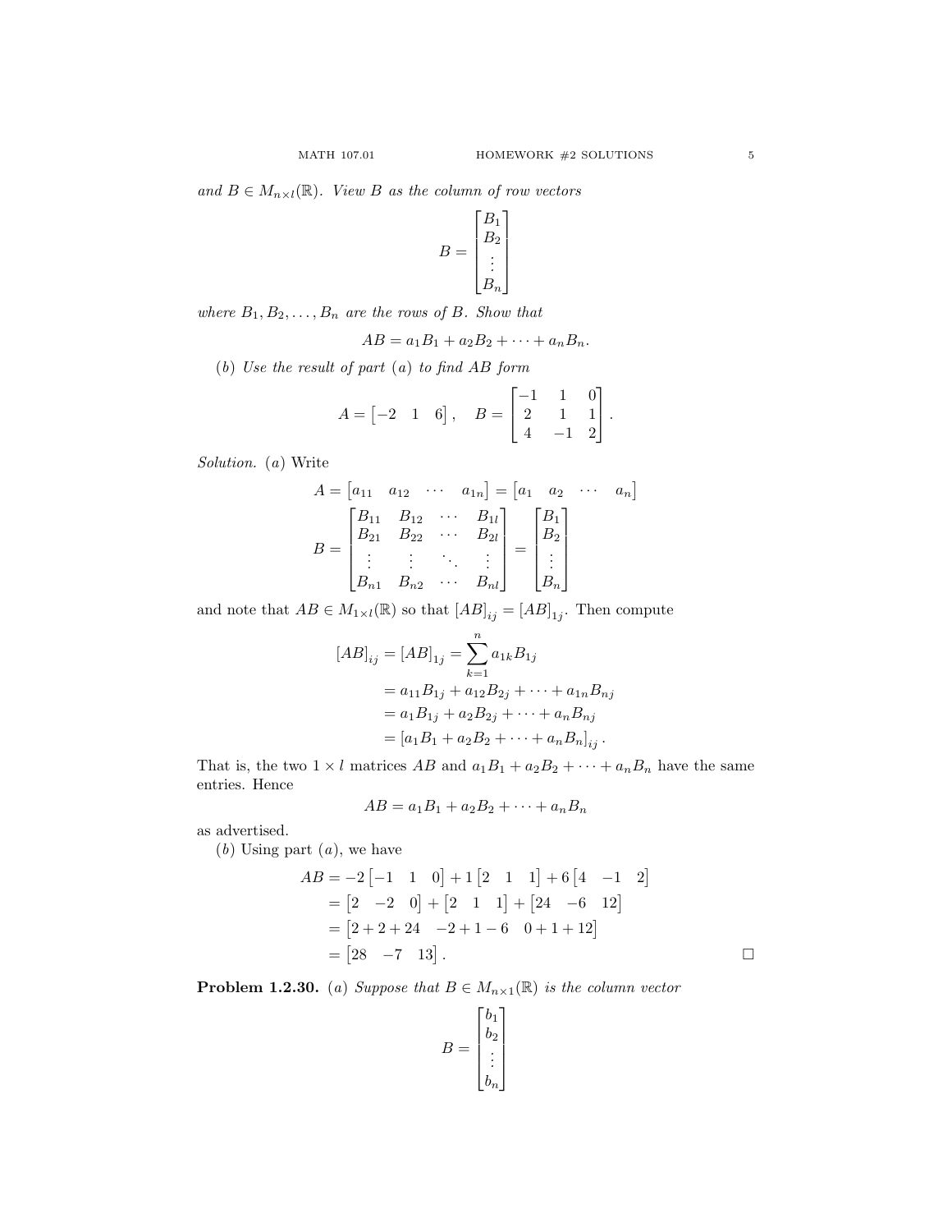and  $B \in M_{n \times l}(\mathbb{R})$ . View B as the column of row vectors

$$
B = \begin{bmatrix} B_1 \\ B_2 \\ \vdots \\ B_n \end{bmatrix}
$$

where  $B_1, B_2, \ldots, B_n$  are the rows of B. Show that

$$
AB = a_1B_1 + a_2B_2 + \cdots + a_nB_n.
$$

(b) Use the result of part (a) to find AB form

$$
A = \begin{bmatrix} -2 & 1 & 6 \end{bmatrix}, \quad B = \begin{bmatrix} -1 & 1 & 0 \\ 2 & 1 & 1 \\ 4 & -1 & 2 \end{bmatrix}.
$$

Solution. (a) Write

$$
A = \begin{bmatrix} a_{11} & a_{12} & \cdots & a_{1n} \end{bmatrix} = \begin{bmatrix} a_1 & a_2 & \cdots & a_n \end{bmatrix}
$$

$$
B = \begin{bmatrix} B_{11} & B_{12} & \cdots & B_{1l} \\ B_{21} & B_{22} & \cdots & B_{2l} \\ \vdots & \vdots & \ddots & \vdots \\ B_{n1} & B_{n2} & \cdots & B_{nl} \end{bmatrix} = \begin{bmatrix} B_1 \\ B_2 \\ \vdots \\ B_n \end{bmatrix}
$$

and note that  $AB \in M_{1 \times l}(\mathbb{R})$  so that  $[AB]_{ij} = [AB]_{1j}$ . Then compute

$$
[AB]_{ij} = [AB]_{1j} = \sum_{k=1}^{n} a_{1k} B_{1j}
$$
  
=  $a_{11}B_{1j} + a_{12}B_{2j} + \dots + a_{1n}B_{nj}$   
=  $a_1B_{1j} + a_2B_{2j} + \dots + a_nB_{nj}$   
=  $[a_1B_1 + a_2B_2 + \dots + a_nB_n]_{ij}$ .

That is, the two  $1 \times l$  matrices  $AB$  and  $a_1B_1 + a_2B_2 + \cdots + a_nB_n$  have the same entries. Hence

$$
AB = a_1B_1 + a_2B_2 + \cdots + a_nB_n
$$

as advertised.

 $(b)$  Using part  $(a)$ , we have

$$
AB = -2[-1 \quad 1 \quad 0] + 1[2 \quad 1 \quad 1] + 6[4 \quad -1 \quad 2]
$$
  
=  $[2 \quad -2 \quad 0] + [2 \quad 1 \quad 1] + [24 \quad -6 \quad 12]$   
=  $[2 + 2 + 24 \quad -2 + 1 - 6 \quad 0 + 1 + 12]$   
=  $[28 \quad -7 \quad 13]$ .

**Problem 1.2.30.** (a) Suppose that  $B \in M_{n\times1}(\mathbb{R})$  is the column vector

$$
B = \begin{bmatrix} b_1 \\ b_2 \\ \vdots \\ b_n \end{bmatrix}
$$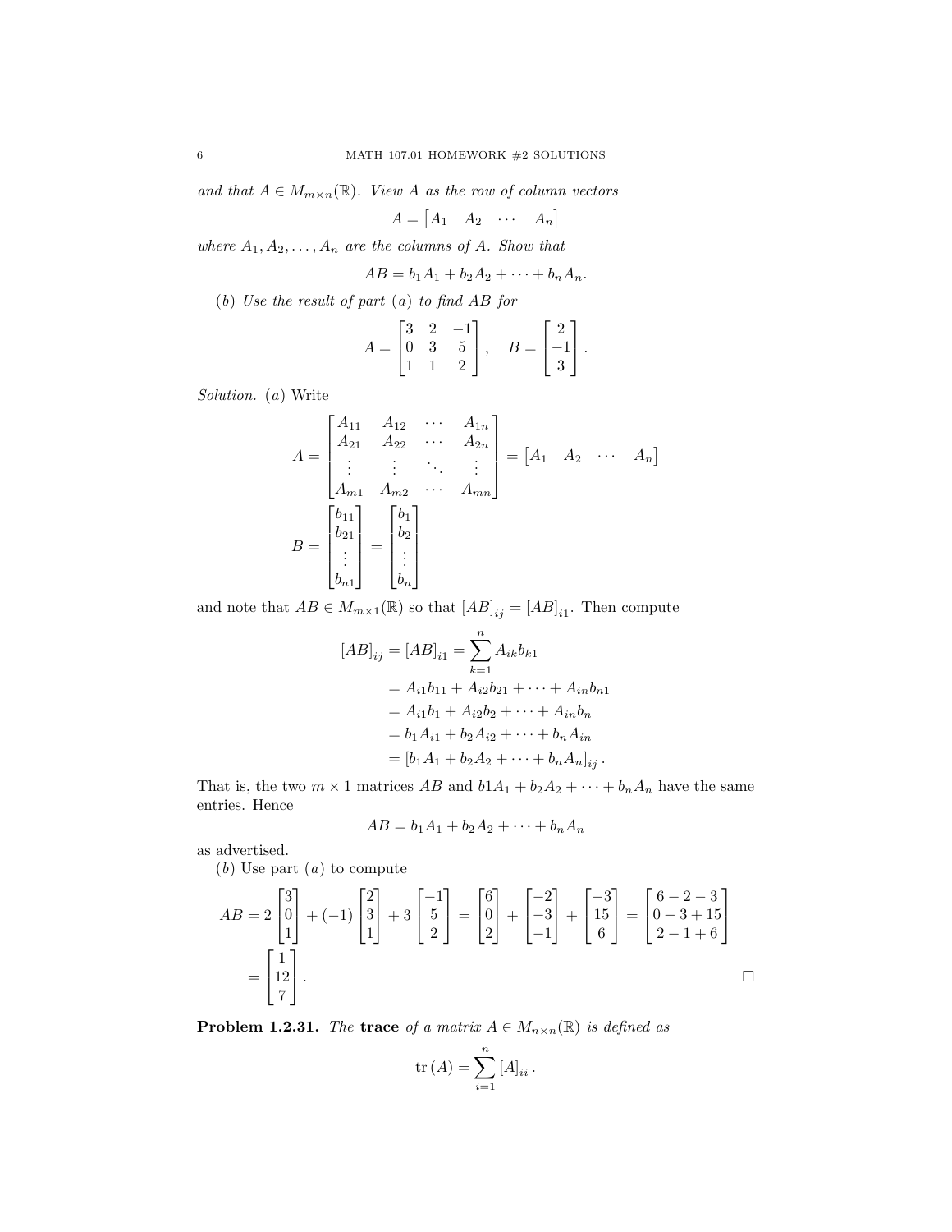and that  $A \in M_{m \times n}(\mathbb{R})$ . View A as the row of column vectors

$$
A = \begin{bmatrix} A_1 & A_2 & \cdots & A_n \end{bmatrix}
$$

where  $A_1, A_2, \ldots, A_n$  are the columns of A. Show that

$$
AB = b_1A_1 + b_2A_2 + \cdots + b_nA_n.
$$

(b) Use the result of part (a) to find AB for

$$
A = \begin{bmatrix} 3 & 2 & -1 \\ 0 & 3 & 5 \\ 1 & 1 & 2 \end{bmatrix}, \quad B = \begin{bmatrix} 2 \\ -1 \\ 3 \end{bmatrix}.
$$

Solution. (a) Write

$$
A = \begin{bmatrix} A_{11} & A_{12} & \cdots & A_{1n} \\ A_{21} & A_{22} & \cdots & A_{2n} \\ \vdots & \vdots & \ddots & \vdots \\ A_{m1} & A_{m2} & \cdots & A_{mn} \end{bmatrix} = \begin{bmatrix} A_1 & A_2 & \cdots & A_n \end{bmatrix}
$$

$$
B = \begin{bmatrix} b_{11} \\ b_{21} \\ \vdots \\ b_{n1} \end{bmatrix} = \begin{bmatrix} b_1 \\ b_2 \\ \vdots \\ b_n \end{bmatrix}
$$

and note that  $AB \in M_{m \times 1}(\mathbb{R})$  so that  $[AB]_{ij} = [AB]_{i1}$ . Then compute

$$
[AB]_{ij} = [AB]_{i1} = \sum_{k=1}^{n} A_{ik}b_{k1}
$$
  
=  $A_{i1}b_{11} + A_{i2}b_{21} + \dots + A_{in}b_{n1}$   
=  $A_{i1}b_1 + A_{i2}b_2 + \dots + A_{in}b_n$   
=  $b_1A_{i1} + b_2A_{i2} + \dots + b_nA_{in}$   
=  $[b_1A_1 + b_2A_2 + \dots + b_nA_n]_{ij}$ .

That is, the two  $m \times 1$  matrices  $AB$  and  $b1A_1 + b_2A_2 + \cdots + b_nA_n$  have the same entries. Hence

$$
AB = b_1A_1 + b_2A_2 + \cdots + b_nA_n
$$

as advertised.

(b) Use part (a) to compute

$$
AB = 2 \begin{bmatrix} 3 \\ 0 \\ 1 \end{bmatrix} + (-1) \begin{bmatrix} 2 \\ 3 \\ 1 \end{bmatrix} + 3 \begin{bmatrix} -1 \\ 5 \\ 2 \end{bmatrix} = \begin{bmatrix} 6 \\ 0 \\ 2 \end{bmatrix} + \begin{bmatrix} -2 \\ -3 \\ -1 \end{bmatrix} + \begin{bmatrix} -3 \\ 15 \\ 6 \end{bmatrix} = \begin{bmatrix} 6 - 2 - 3 \\ 0 - 3 + 15 \\ 2 - 1 + 6 \end{bmatrix}
$$

$$
= \begin{bmatrix} 1 \\ 12 \\ 7 \end{bmatrix}.
$$

**Problem 1.2.31.** The trace of a matrix  $A \in M_{n \times n}(\mathbb{R})$  is defined as

$$
\mathrm{tr}\left(A\right) = \sum_{i=1}^{n} \left[A\right]_{ii}.
$$